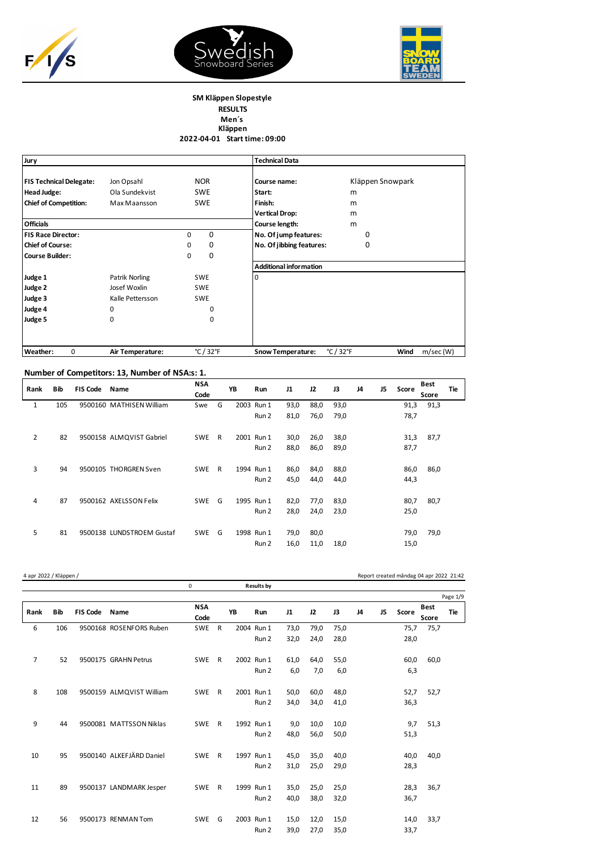





## **SM Kläppen Slopestyle RESULTS Men´s Kläppen 2022-04-01 Start time: 09:00**

| Jury                           |                  |                                | <b>Technical Data</b>                                      |                  |
|--------------------------------|------------------|--------------------------------|------------------------------------------------------------|------------------|
| <b>FIS Technical Delegate:</b> | Jon Opsahl       | <b>NOR</b>                     | Course name:                                               | Kläppen Snowpark |
| <b>Head Judge:</b>             | Ola Sundekvist   | <b>SWE</b>                     | Start:                                                     | m                |
| <b>Chief of Competition:</b>   | Max Maansson     | <b>SWE</b>                     | Finish:                                                    | m                |
|                                |                  |                                | <b>Vertical Drop:</b>                                      | m                |
| <b>Officials</b>               |                  |                                | Course length:                                             | m                |
| <b>FIS Race Director:</b>      |                  | 0<br>0                         | No. Of jump features:                                      | 0                |
| <b>Chief of Course:</b>        |                  | 0<br>0                         | No. Of jibbing features:                                   | 0                |
| <b>Course Builder:</b>         |                  | 0<br>0                         |                                                            |                  |
|                                |                  |                                | <b>Additional information</b>                              |                  |
| Judge 1                        | Patrik Norling   | <b>SWE</b>                     | 0                                                          |                  |
| Judge 2                        | Josef Woxlin     | <b>SWE</b>                     |                                                            |                  |
| Judge 3                        | Kalle Pettersson | <b>SWE</b>                     |                                                            |                  |
| Judge 4                        | 0                | 0                              |                                                            |                  |
| Judge 5                        | 0                | 0                              |                                                            |                  |
| Weather:<br>0                  | Air Temperature: | $^{\circ}$ C / 32 $^{\circ}$ F | $^{\circ}$ C / 32 $^{\circ}$ F<br><b>Snow Temperature:</b> | Wind<br>m/sec(W) |

## **Number of Competitors: 13, Number of NSA:s: 1.**

| Rank           | Bib | <b>FIS Code</b> | Name                      | <b>NSA</b><br>Code |              | YB | Run        | J1   | 12   | J3   | J4 | J5 | Score | <b>Best</b><br>Score | Tie |
|----------------|-----|-----------------|---------------------------|--------------------|--------------|----|------------|------|------|------|----|----|-------|----------------------|-----|
| 1              | 105 |                 | 9500160 MATHISEN William  | Swe                | G            |    | 2003 Run 1 | 93,0 | 88,0 | 93,0 |    |    | 91,3  | 91,3                 |     |
|                |     |                 |                           |                    |              |    | Run 2      | 81,0 | 76,0 | 79,0 |    |    | 78,7  |                      |     |
| $\overline{2}$ | 82  |                 | 9500158 ALMQVIST Gabriel  | <b>SWE</b>         | $\mathsf{R}$ |    | 2001 Run 1 | 30,0 | 26,0 | 38,0 |    |    | 31,3  | 87,7                 |     |
|                |     |                 |                           |                    |              |    | Run 2      | 88,0 | 86,0 | 89,0 |    |    | 87,7  |                      |     |
| 3              | 94  |                 | 9500105 THORGREN Sven     | <b>SWE</b>         | R            |    | 1994 Run 1 | 86,0 | 84,0 | 88,0 |    |    | 86,0  | 86,0                 |     |
|                |     |                 |                           |                    |              |    | Run 2      | 45,0 | 44,0 | 44,0 |    |    | 44,3  |                      |     |
| 4              | 87  |                 | 9500162 AXELSSON Felix    | <b>SWE</b>         | G            |    | 1995 Run 1 | 82,0 | 77,0 | 83,0 |    |    | 80,7  | 80,7                 |     |
|                |     |                 |                           |                    |              |    | Run 2      | 28,0 | 24,0 | 23,0 |    |    | 25,0  |                      |     |
| 5              | 81  |                 | 9500138 LUNDSTROEM Gustaf | <b>SWE</b>         | G            |    | 1998 Run 1 | 79,0 | 80,0 |      |    |    | 79,0  | 79,0                 |     |
|                |     |                 |                           |                    |              |    | Run 2      | 16,0 | 11,0 | 18,0 |    |    | 15,0  |                      |     |

| 4 apr 2022 / Kläppen / |            |                 |                          |                    |              |    |                   |      |      |      |    |    | Report created måndag 04 apr 2022 21:42 |                      |            |
|------------------------|------------|-----------------|--------------------------|--------------------|--------------|----|-------------------|------|------|------|----|----|-----------------------------------------|----------------------|------------|
|                        |            |                 |                          | 0                  |              |    | <b>Results by</b> |      |      |      |    |    |                                         |                      |            |
|                        |            |                 |                          |                    |              |    |                   |      |      |      |    |    |                                         |                      | Page 1/9   |
| Rank                   | <b>Bib</b> | <b>FIS Code</b> | Name                     | <b>NSA</b><br>Code |              | YB | Run               | J1   | 12   | J3   | J4 | J5 | Score                                   | <b>Best</b><br>Score | <b>Tie</b> |
| 6                      | 106        |                 | 9500168 ROSENFORS Ruben  | <b>SWE</b>         | $\mathsf{R}$ |    | 2004 Run 1        | 73,0 | 79,0 | 75,0 |    |    | 75,7                                    | 75,7                 |            |
|                        |            |                 |                          |                    |              |    | Run 2             | 32,0 | 24,0 | 28,0 |    |    | 28,0                                    |                      |            |
| $\overline{7}$         | 52         |                 | 9500175 GRAHN Petrus     | <b>SWE</b>         | $\mathsf{R}$ |    | 2002 Run 1        | 61,0 | 64,0 | 55,0 |    |    | 60,0                                    | 60,0                 |            |
|                        |            |                 |                          |                    |              |    | Run 2             | 6,0  | 7,0  | 6,0  |    |    | 6,3                                     |                      |            |
| 8                      | 108        |                 | 9500159 ALMQVIST William | <b>SWE</b>         | $\mathsf{R}$ |    | 2001 Run 1        | 50.0 | 60.0 | 48,0 |    |    | 52,7                                    | 52,7                 |            |
|                        |            |                 |                          |                    |              |    | Run 2             | 34,0 | 34,0 | 41,0 |    |    | 36,3                                    |                      |            |
| 9                      | 44         |                 | 9500081 MATTSSON Niklas  | <b>SWE</b>         | R            |    | 1992 Run 1        | 9,0  | 10,0 | 10,0 |    |    | 9,7                                     | 51,3                 |            |
|                        |            |                 |                          |                    |              |    | Run 2             | 48.0 | 56,0 | 50.0 |    |    | 51,3                                    |                      |            |
| 10                     | 95         |                 | 9500140 ALKEFJÄRD Daniel | <b>SWE</b>         | $\mathsf{R}$ |    | 1997 Run 1        | 45,0 | 35,0 | 40,0 |    |    | 40,0                                    | 40,0                 |            |
|                        |            |                 |                          |                    |              |    | Run 2             | 31,0 | 25,0 | 29,0 |    |    | 28,3                                    |                      |            |
| 11                     | 89         |                 | 9500137 LANDMARK Jesper  | <b>SWE</b>         | $\mathsf{R}$ |    | 1999 Run 1        | 35,0 | 25,0 | 25,0 |    |    | 28,3                                    | 36,7                 |            |
|                        |            |                 |                          |                    |              |    | Run 2             | 40,0 | 38,0 | 32,0 |    |    | 36,7                                    |                      |            |
| 12                     | 56         |                 | 9500173 RENMAN Tom       | <b>SWE</b>         | G            |    | 2003 Run 1        | 15,0 | 12,0 | 15,0 |    |    | 14,0                                    | 33,7                 |            |
|                        |            |                 |                          |                    |              |    | Run 2             | 39,0 | 27,0 | 35,0 |    |    | 33,7                                    |                      |            |